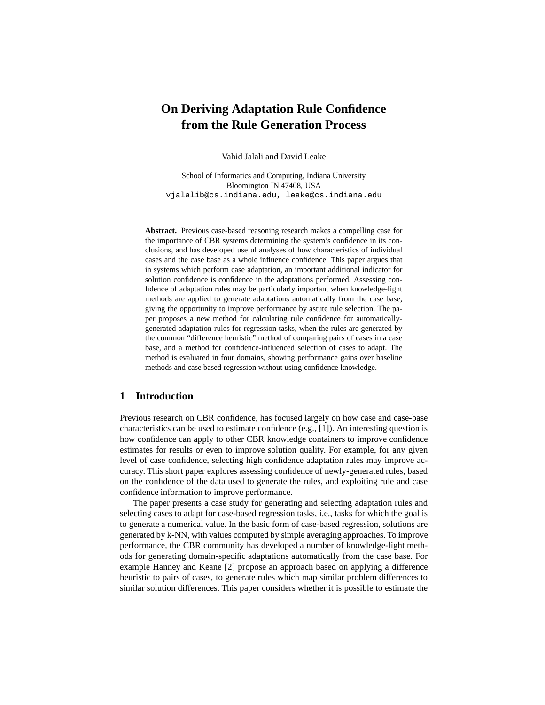# **On Deriving Adaptation Rule Confidence from the Rule Generation Process**

Vahid Jalali and David Leake

School of Informatics and Computing, Indiana University Bloomington IN 47408, USA vjalalib@cs.indiana.edu, leake@cs.indiana.edu

**Abstract.** Previous case-based reasoning research makes a compelling case for the importance of CBR systems determining the system's confidence in its conclusions, and has developed useful analyses of how characteristics of individual cases and the case base as a whole influence confidence. This paper argues that in systems which perform case adaptation, an important additional indicator for solution confidence is confidence in the adaptations performed. Assessing confidence of adaptation rules may be particularly important when knowledge-light methods are applied to generate adaptations automatically from the case base, giving the opportunity to improve performance by astute rule selection. The paper proposes a new method for calculating rule confidence for automaticallygenerated adaptation rules for regression tasks, when the rules are generated by the common "difference heuristic" method of comparing pairs of cases in a case base, and a method for confidence-influenced selection of cases to adapt. The method is evaluated in four domains, showing performance gains over baseline methods and case based regression without using confidence knowledge.

# **1 Introduction**

Previous research on CBR confidence, has focused largely on how case and case-base characteristics can be used to estimate confidence (e.g., [1]). An interesting question is how confidence can apply to other CBR knowledge containers to improve confidence estimates for results or even to improve solution quality. For example, for any given level of case confidence, selecting high confidence adaptation rules may improve accuracy. This short paper explores assessing confidence of newly-generated rules, based on the confidence of the data used to generate the rules, and exploiting rule and case confidence information to improve performance.

The paper presents a case study for generating and selecting adaptation rules and selecting cases to adapt for case-based regression tasks, i.e., tasks for which the goal is to generate a numerical value. In the basic form of case-based regression, solutions are generated by k-NN, with values computed by simple averaging approaches. To improve performance, the CBR community has developed a number of knowledge-light methods for generating domain-specific adaptations automatically from the case base. For example Hanney and Keane [2] propose an approach based on applying a difference heuristic to pairs of cases, to generate rules which map similar problem differences to similar solution differences. This paper considers whether it is possible to estimate the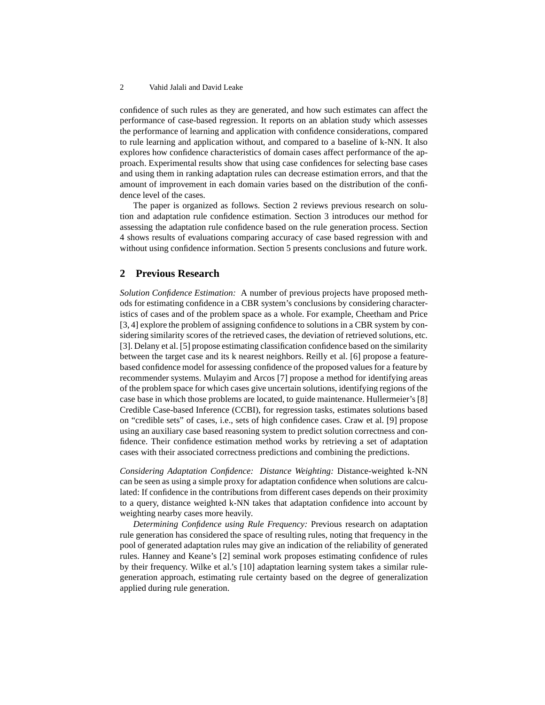#### 2 Vahid Jalali and David Leake

confidence of such rules as they are generated, and how such estimates can affect the performance of case-based regression. It reports on an ablation study which assesses the performance of learning and application with confidence considerations, compared to rule learning and application without, and compared to a baseline of k-NN. It also explores how confidence characteristics of domain cases affect performance of the approach. Experimental results show that using case confidences for selecting base cases and using them in ranking adaptation rules can decrease estimation errors, and that the amount of improvement in each domain varies based on the distribution of the confidence level of the cases.

The paper is organized as follows. Section 2 reviews previous research on solution and adaptation rule confidence estimation. Section 3 introduces our method for assessing the adaptation rule confidence based on the rule generation process. Section 4 shows results of evaluations comparing accuracy of case based regression with and without using confidence information. Section 5 presents conclusions and future work.

# **2 Previous Research**

*Solution Confidence Estimation:* A number of previous projects have proposed methods for estimating confidence in a CBR system's conclusions by considering characteristics of cases and of the problem space as a whole. For example, Cheetham and Price [3, 4] explore the problem of assigning confidence to solutions in a CBR system by considering similarity scores of the retrieved cases, the deviation of retrieved solutions, etc. [3]. Delany et al. [5] propose estimating classification confidence based on the similarity between the target case and its k nearest neighbors. Reilly et al. [6] propose a featurebased confidence model for assessing confidence of the proposed values for a feature by recommender systems. Mulayim and Arcos [7] propose a method for identifying areas of the problem space for which cases give uncertain solutions, identifying regions of the case base in which those problems are located, to guide maintenance. Hullermeier's [8] Credible Case-based Inference (CCBI), for regression tasks, estimates solutions based on "credible sets" of cases, i.e., sets of high confidence cases. Craw et al. [9] propose using an auxiliary case based reasoning system to predict solution correctness and confidence. Their confidence estimation method works by retrieving a set of adaptation cases with their associated correctness predictions and combining the predictions.

*Considering Adaptation Confidence: Distance Weighting:* Distance-weighted k-NN can be seen as using a simple proxy for adaptation confidence when solutions are calculated: If confidence in the contributions from different cases depends on their proximity to a query, distance weighted k-NN takes that adaptation confidence into account by weighting nearby cases more heavily.

*Determining Confidence using Rule Frequency:* Previous research on adaptation rule generation has considered the space of resulting rules, noting that frequency in the pool of generated adaptation rules may give an indication of the reliability of generated rules. Hanney and Keane's [2] seminal work proposes estimating confidence of rules by their frequency. Wilke et al.'s [10] adaptation learning system takes a similar rulegeneration approach, estimating rule certainty based on the degree of generalization applied during rule generation.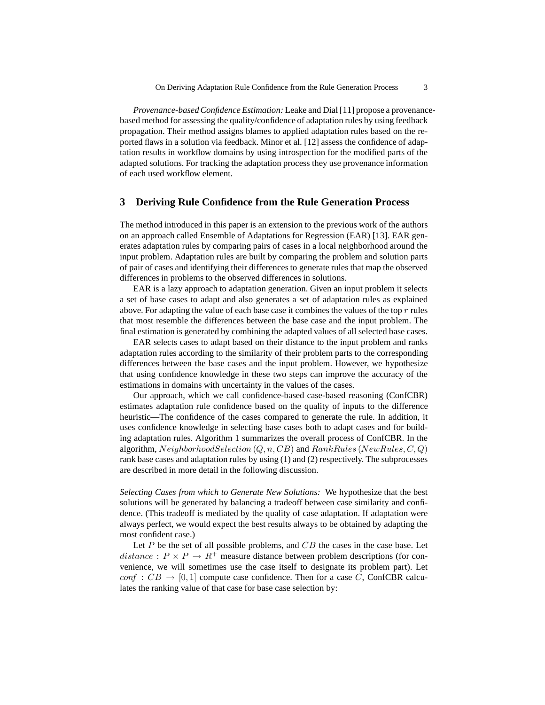*Provenance-based Confidence Estimation:* Leake and Dial [11] propose a provenancebased method for assessing the quality/confidence of adaptation rules by using feedback propagation. Their method assigns blames to applied adaptation rules based on the reported flaws in a solution via feedback. Minor et al. [12] assess the confidence of adaptation results in workflow domains by using introspection for the modified parts of the adapted solutions. For tracking the adaptation process they use provenance information of each used workflow element.

## **3 Deriving Rule Confidence from the Rule Generation Process**

The method introduced in this paper is an extension to the previous work of the authors on an approach called Ensemble of Adaptations for Regression (EAR) [13]. EAR generates adaptation rules by comparing pairs of cases in a local neighborhood around the input problem. Adaptation rules are built by comparing the problem and solution parts of pair of cases and identifying their differences to generate rules that map the observed differences in problems to the observed differences in solutions.

EAR is a lazy approach to adaptation generation. Given an input problem it selects a set of base cases to adapt and also generates a set of adaptation rules as explained above. For adapting the value of each base case it combines the values of the top  $r$  rules that most resemble the differences between the base case and the input problem. The final estimation is generated by combining the adapted values of all selected base cases.

EAR selects cases to adapt based on their distance to the input problem and ranks adaptation rules according to the similarity of their problem parts to the corresponding differences between the base cases and the input problem. However, we hypothesize that using confidence knowledge in these two steps can improve the accuracy of the estimations in domains with uncertainty in the values of the cases.

Our approach, which we call confidence-based case-based reasoning (ConfCBR) estimates adaptation rule confidence based on the quality of inputs to the difference heuristic—The confidence of the cases compared to generate the rule. In addition, it uses confidence knowledge in selecting base cases both to adapt cases and for building adaptation rules. Algorithm 1 summarizes the overall process of ConfCBR. In the algorithm,  $NeighbourhoodSelection(Q, n, CB)$  and  $RankRules(NewRules, C, Q)$ rank base cases and adaptation rules by using (1) and (2) respectively. The subprocesses are described in more detail in the following discussion.

*Selecting Cases from which to Generate New Solutions:* We hypothesize that the best solutions will be generated by balancing a tradeoff between case similarity and confidence. (This tradeoff is mediated by the quality of case adaptation. If adaptation were always perfect, we would expect the best results always to be obtained by adapting the most confident case.)

Let  $P$  be the set of all possible problems, and  $CB$  the cases in the case base. Let distance :  $P \times P \rightarrow R^+$  measure distance between problem descriptions (for convenience, we will sometimes use the case itself to designate its problem part). Let  $conf : CB \rightarrow [0, 1]$  compute case confidence. Then for a case C, ConfCBR calculates the ranking value of that case for base case selection by: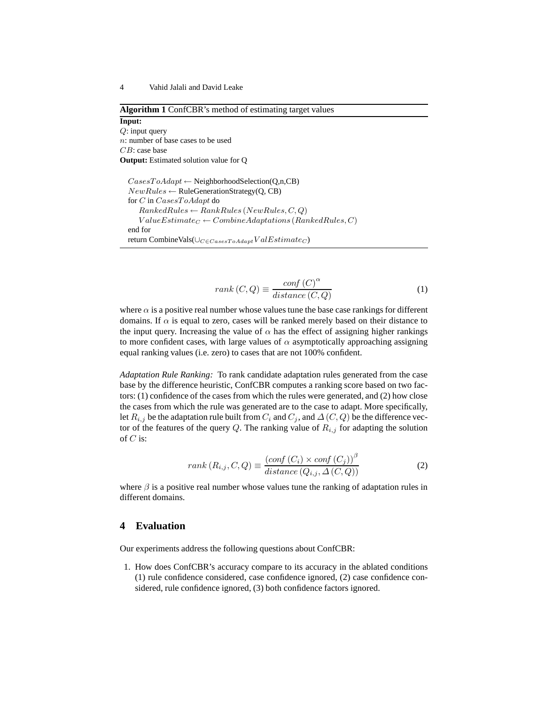#### **Algorithm 1** ConfCBR's method of estimating target values **Input:**

Q: input query n: number of base cases to be used CB: case base **Output:** Estimated solution value for Q

 $\text{CasesToAdapt} \leftarrow \text{NeighbourhoodSelection}(Q, n, CB)$  $NewRules \leftarrow RuleGenerationStrategy(Q, CB)$ for C in CasesToAdapt do  $RankedRules \leftarrow RankRules (NewRules, C, Q)$  $ValueEstimate_C \leftarrow CombineAdaptations(RankedRules, C)$ end for return CombineVals( $\cup_{C \in CasesToAdapt}ValEstimate_C$ )

$$
rank(C,Q) \equiv \frac{conf(C)^{\alpha}}{distance(C,Q)}
$$
 (1)

where  $\alpha$  is a positive real number whose values tune the base case rankings for different domains. If  $\alpha$  is equal to zero, cases will be ranked merely based on their distance to the input query. Increasing the value of  $\alpha$  has the effect of assigning higher rankings to more confident cases, with large values of  $\alpha$  asymptotically approaching assigning equal ranking values (i.e. zero) to cases that are not 100% confident.

*Adaptation Rule Ranking:* To rank candidate adaptation rules generated from the case base by the difference heuristic, ConfCBR computes a ranking score based on two factors: (1) confidence of the cases from which the rules were generated, and (2) how close the cases from which the rule was generated are to the case to adapt. More specifically, let  $R_{i,j}$  be the adaptation rule built from  $C_i$  and  $C_j$ , and  $\Delta(C,Q)$  be the difference vector of the features of the query Q. The ranking value of  $R_{i,j}$  for adapting the solution of  $C$  is:

$$
rank(R_{i,j}, C, Q) \equiv \frac{(conf(C_i) \times conf(C_j))^{\beta}}{distance(Q_{i,j}, \Delta(C, Q))}
$$
(2)

where  $\beta$  is a positive real number whose values tune the ranking of adaptation rules in different domains.

## **4 Evaluation**

Our experiments address the following questions about ConfCBR:

1. How does ConfCBR's accuracy compare to its accuracy in the ablated conditions (1) rule confidence considered, case confidence ignored, (2) case confidence considered, rule confidence ignored, (3) both confidence factors ignored.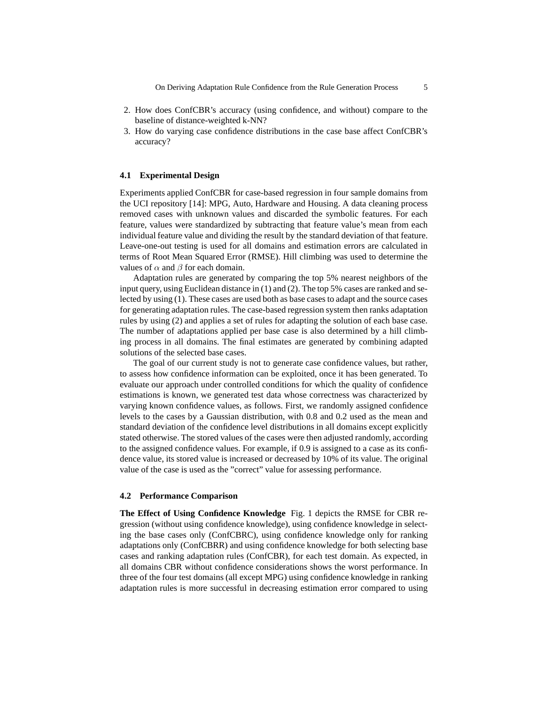- 2. How does ConfCBR's accuracy (using confidence, and without) compare to the baseline of distance-weighted k-NN?
- 3. How do varying case confidence distributions in the case base affect ConfCBR's accuracy?

#### **4.1 Experimental Design**

Experiments applied ConfCBR for case-based regression in four sample domains from the UCI repository [14]: MPG, Auto, Hardware and Housing. A data cleaning process removed cases with unknown values and discarded the symbolic features. For each feature, values were standardized by subtracting that feature value's mean from each individual feature value and dividing the result by the standard deviation of that feature. Leave-one-out testing is used for all domains and estimation errors are calculated in terms of Root Mean Squared Error (RMSE). Hill climbing was used to determine the values of  $\alpha$  and  $\beta$  for each domain.

Adaptation rules are generated by comparing the top 5% nearest neighbors of the input query, using Euclidean distance in (1) and (2). The top 5% cases are ranked and selected by using (1). These cases are used both as base cases to adapt and the source cases for generating adaptation rules. The case-based regression system then ranks adaptation rules by using (2) and applies a set of rules for adapting the solution of each base case. The number of adaptations applied per base case is also determined by a hill climbing process in all domains. The final estimates are generated by combining adapted solutions of the selected base cases.

The goal of our current study is not to generate case confidence values, but rather, to assess how confidence information can be exploited, once it has been generated. To evaluate our approach under controlled conditions for which the quality of confidence estimations is known, we generated test data whose correctness was characterized by varying known confidence values, as follows. First, we randomly assigned confidence levels to the cases by a Gaussian distribution, with 0.8 and 0.2 used as the mean and standard deviation of the confidence level distributions in all domains except explicitly stated otherwise. The stored values of the cases were then adjusted randomly, according to the assigned confidence values. For example, if 0.9 is assigned to a case as its confidence value, its stored value is increased or decreased by 10% of its value. The original value of the case is used as the "correct" value for assessing performance.

#### **4.2 Performance Comparison**

**The Effect of Using Confidence Knowledge** Fig. 1 depicts the RMSE for CBR regression (without using confidence knowledge), using confidence knowledge in selecting the base cases only (ConfCBRC), using confidence knowledge only for ranking adaptations only (ConfCBRR) and using confidence knowledge for both selecting base cases and ranking adaptation rules (ConfCBR), for each test domain. As expected, in all domains CBR without confidence considerations shows the worst performance. In three of the four test domains (all except MPG) using confidence knowledge in ranking adaptation rules is more successful in decreasing estimation error compared to using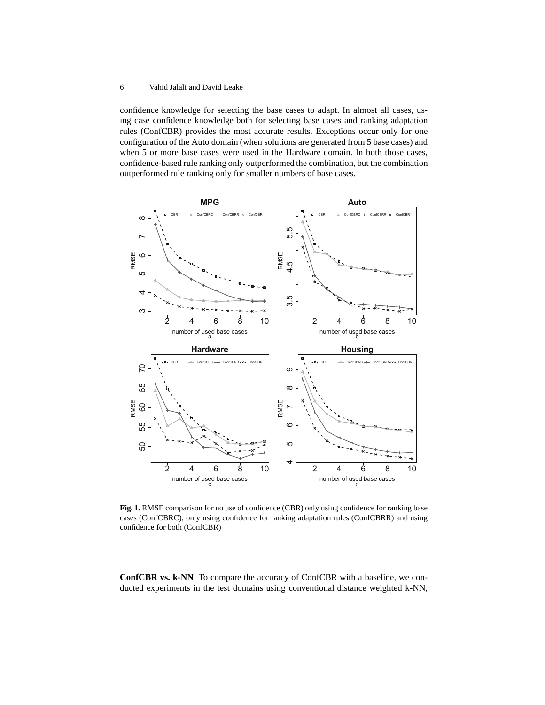#### 6 Vahid Jalali and David Leake

confidence knowledge for selecting the base cases to adapt. In almost all cases, using case confidence knowledge both for selecting base cases and ranking adaptation rules (ConfCBR) provides the most accurate results. Exceptions occur only for one configuration of the Auto domain (when solutions are generated from 5 base cases) and when 5 or more base cases were used in the Hardware domain. In both those cases, confidence-based rule ranking only outperformed the combination, but the combination outperformed rule ranking only for smaller numbers of base cases.



**Fig. 1.** RMSE comparison for no use of confidence (CBR) only using confidence for ranking base cases (ConfCBRC), only using confidence for ranking adaptation rules (ConfCBRR) and using confidence for both (ConfCBR)

**ConfCBR vs. k-NN** To compare the accuracy of ConfCBR with a baseline, we conducted experiments in the test domains using conventional distance weighted k-NN,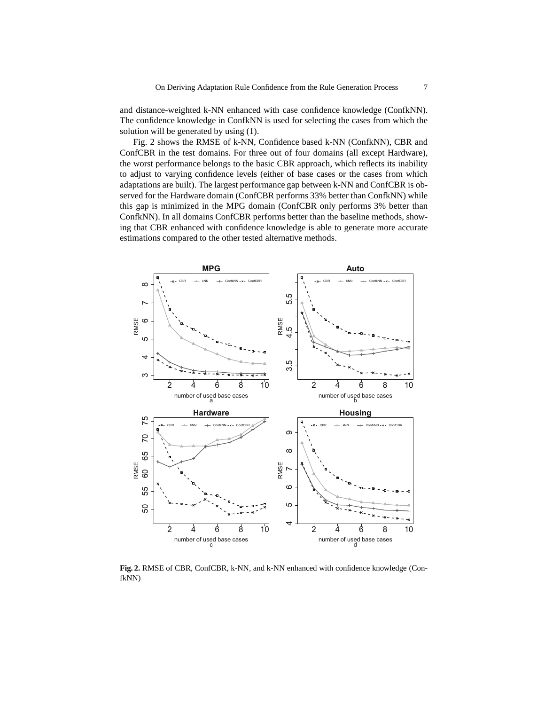and distance-weighted k-NN enhanced with case confidence knowledge (ConfkNN). The confidence knowledge in ConfkNN is used for selecting the cases from which the solution will be generated by using (1).

Fig. 2 shows the RMSE of k-NN, Confidence based k-NN (ConfkNN), CBR and ConfCBR in the test domains. For three out of four domains (all except Hardware), the worst performance belongs to the basic CBR approach, which reflects its inability to adjust to varying confidence levels (either of base cases or the cases from which adaptations are built). The largest performance gap between k-NN and ConfCBR is observed for the Hardware domain (ConfCBR performs 33% better than ConfkNN) while this gap is minimized in the MPG domain (ConfCBR only performs 3% better than ConfkNN). In all domains ConfCBR performs better than the baseline methods, showing that CBR enhanced with confidence knowledge is able to generate more accurate estimations compared to the other tested alternative methods.



**Fig. 2.** RMSE of CBR, ConfCBR, k-NN, and k-NN enhanced with confidence knowledge (ConfkNN)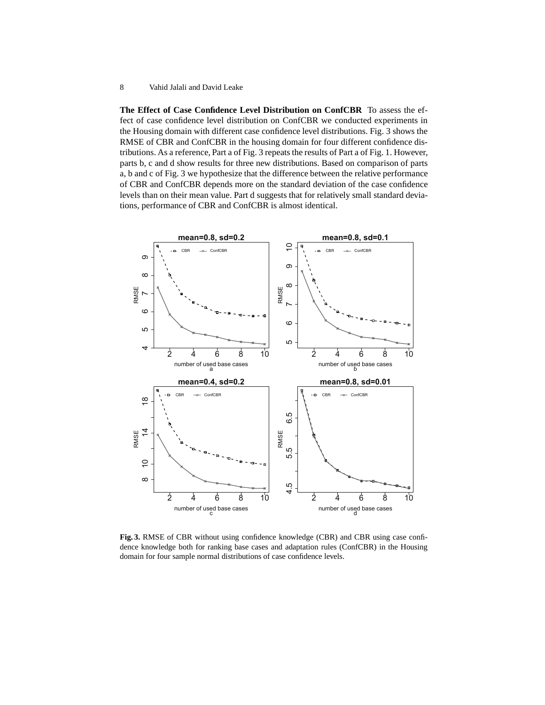**The Effect of Case Confidence Level Distribution on ConfCBR** To assess the effect of case confidence level distribution on ConfCBR we conducted experiments in the Housing domain with different case confidence level distributions. Fig. 3 shows the RMSE of CBR and ConfCBR in the housing domain for four different confidence distributions. As a reference, Part a of Fig. 3 repeats the results of Part a of Fig. 1. However, parts b, c and d show results for three new distributions. Based on comparison of parts a, b and c of Fig. 3 we hypothesize that the difference between the relative performance of CBR and ConfCBR depends more on the standard deviation of the case confidence levels than on their mean value. Part d suggests that for relatively small standard deviations, performance of CBR and ConfCBR is almost identical.



**Fig. 3.** RMSE of CBR without using confidence knowledge (CBR) and CBR using case confidence knowledge both for ranking base cases and adaptation rules (ConfCBR) in the Housing domain for four sample normal distributions of case confidence levels.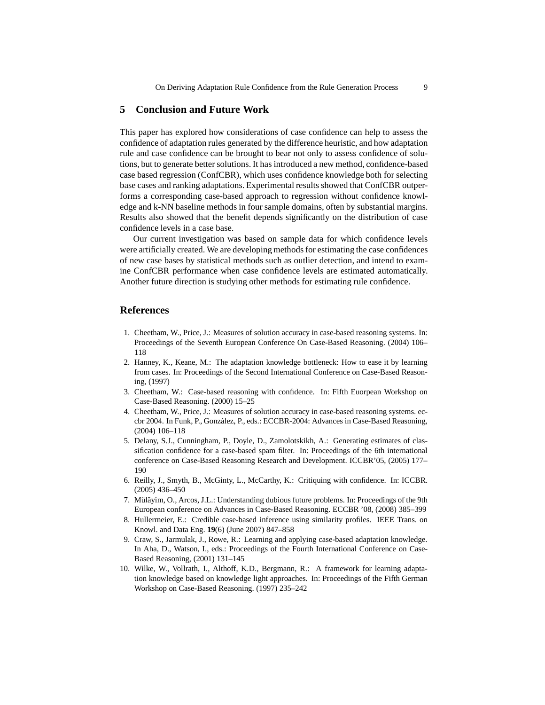#### **5 Conclusion and Future Work**

This paper has explored how considerations of case confidence can help to assess the confidence of adaptation rules generated by the difference heuristic, and how adaptation rule and case confidence can be brought to bear not only to assess confidence of solutions, but to generate better solutions. It has introduced a new method, confidence-based case based regression (ConfCBR), which uses confidence knowledge both for selecting base cases and ranking adaptations. Experimental results showed that ConfCBR outperforms a corresponding case-based approach to regression without confidence knowledge and k-NN baseline methods in four sample domains, often by substantial margins. Results also showed that the benefit depends significantly on the distribution of case confidence levels in a case base.

Our current investigation was based on sample data for which confidence levels were artificially created. We are developing methods for estimating the case confidences of new case bases by statistical methods such as outlier detection, and intend to examine ConfCBR performance when case confidence levels are estimated automatically. Another future direction is studying other methods for estimating rule confidence.

## **References**

- 1. Cheetham, W., Price, J.: Measures of solution accuracy in case-based reasoning systems. In: Proceedings of the Seventh European Conference On Case-Based Reasoning. (2004) 106– 118
- 2. Hanney, K., Keane, M.: The adaptation knowledge bottleneck: How to ease it by learning from cases. In: Proceedings of the Second International Conference on Case-Based Reasoning, (1997)
- 3. Cheetham, W.: Case-based reasoning with confidence. In: Fifth Euorpean Workshop on Case-Based Reasoning. (2000) 15–25
- 4. Cheetham, W., Price, J.: Measures of solution accuracy in case-based reasoning systems. eccbr 2004. In Funk, P., González, P., eds.: ECCBR-2004: Advances in Case-Based Reasoning, (2004) 106–118
- 5. Delany, S.J., Cunningham, P., Doyle, D., Zamolotskikh, A.: Generating estimates of classification confidence for a case-based spam filter. In: Proceedings of the 6th international conference on Case-Based Reasoning Research and Development. ICCBR'05, (2005) 177– 190
- 6. Reilly, J., Smyth, B., McGinty, L., McCarthy, K.: Critiquing with confidence. In: ICCBR. (2005) 436–450
- 7. Mülâyim, O., Arcos, J.L.: Understanding dubious future problems. In: Proceedings of the 9th European conference on Advances in Case-Based Reasoning. ECCBR '08, (2008) 385–399
- 8. Hullermeier, E.: Credible case-based inference using similarity profiles. IEEE Trans. on Knowl. and Data Eng. **19**(6) (June 2007) 847–858
- 9. Craw, S., Jarmulak, J., Rowe, R.: Learning and applying case-based adaptation knowledge. In Aha, D., Watson, I., eds.: Proceedings of the Fourth International Conference on Case-Based Reasoning, (2001) 131–145
- 10. Wilke, W., Vollrath, I., Althoff, K.D., Bergmann, R.: A framework for learning adaptation knowledge based on knowledge light approaches. In: Proceedings of the Fifth German Workshop on Case-Based Reasoning. (1997) 235–242